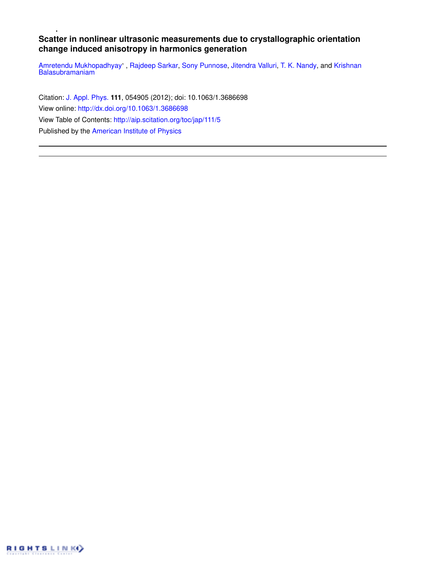# **Scatter in nonlinear ultrasonic measurements due to crystallographic orientation change induced anisotropy in harmonics generation**

Amretendu Mukhopadhyay', Rajdeep Sarkar, Sony Punnose, Jitendra Valluri, T. K. Nandy, and Krishnan Balasubramaniam

Citation: J. Appl. Phys. **111**, 054905 (2012); doi: 10.1063/1.3686698 View online: http://dx.doi.org/10.1063/1.3686698 View Table of Contents: http://aip.scitation.org/toc/jap/111/5 Published by the American Institute of Physics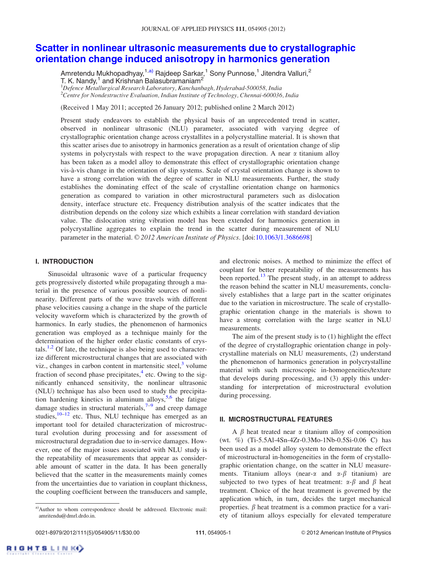# Scatter in nonlinear ultrasonic measurements due to crystallographic orientation change induced anisotropy in harmonics generation

Amretendu Mukhopadhyay, $^{1, a)}$  Rajdeep Sarkar, $^{1}$  Sony Punnose, $^{1}$  Jitendra Valluri, $^{2}$ T. K. Nandy, $^1$  and Krishnan Balasubramaniam $^2$ 

 $1$ Defence Metallurgical Research Laboratory, Kanchanbagh, Hyderabad-500058, India <sup>2</sup>Centre for Nondestructive Evaluation, Indian Institute of Technology, Chennai-600036, India

(Received 1 May 2011; accepted 26 January 2012; published online 2 March 2012)

Present study endeavors to establish the physical basis of an unprecedented trend in scatter, observed in nonlinear ultrasonic (NLU) parameter, associated with varying degree of crystallographic orientation change across crystallites in a polycrystalline material. It is shown that this scatter arises due to anisotropy in harmonics generation as a result of orientation change of slip systems in polycrystals with respect to the wave propagation direction. A near  $\alpha$  titanium alloy has been taken as a model alloy to demonstrate this effect of crystallographic orientation change vis-a`-vis change in the orientation of slip systems. Scale of crystal orientation change is shown to have a strong correlation with the degree of scatter in NLU measurements. Further, the study establishes the dominating effect of the scale of crystalline orientation change on harmonics generation as compared to variation in other microstructural parameters such as dislocation density, interface structure etc. Frequency distribution analysis of the scatter indicates that the distribution depends on the colony size which exhibits a linear correlation with standard deviation value. The dislocation string vibration model has been extended for harmonics generation in polycrystalline aggregates to explain the trend in the scatter during measurement of NLU parameter in the material. © 2012 American Institute of Physics. [doi:10.1063/1.3686698]

### I. INTRODUCTION

Sinusoidal ultrasonic wave of a particular frequency gets progressively distorted while propagating through a material in the presence of various possible sources of nonlinearity. Different parts of the wave travels with different phase velocities causing a change in the shape of the particle velocity waveform which is characterized by the growth of harmonics. In early studies, the phenomenon of harmonics generation was employed as a technique mainly for the determination of the higher order elastic constants of crystals.<sup>1,2</sup> Of late, the technique is also being used to characterize different microstructural changes that are associated with viz., changes in carbon content in martensitic steel, $3$  volume fraction of second phase precipitates,<sup>4</sup> etc. Owing to the significantly enhanced sensitivity, the nonlinear ultrasonic (NLU) technique has also been used to study the precipitation hardening kinetics in aluminum alloys,<sup>5,6</sup> the fatigue damage studies in structural materials,<sup>7-9</sup> and creep damage studies, $10-12$  etc. Thus, NLU technique has emerged as an important tool for detailed characterization of microstructural evolution during processing and for assessment of microstructural degradation due to in-service damages. However, one of the major issues associated with NLU study is the repeatability of measurements that appear as considerable amount of scatter in the data. It has been generally believed that the scatter in the measurements mainly comes from the uncertainties due to variation in couplant thickness, the coupling coefficient between the transducers and sample,

and electronic noises. A method to minimize the effect of couplant for better repeatability of the measurements has been reported.<sup>13</sup> The present study, in an attempt to address the reason behind the scatter in NLU measurements, conclusively establishes that a large part in the scatter originates due to the variation in microstructure. The scale of crystallographic orientation change in the materials is shown to have a strong correlation with the large scatter in NLU measurements.

The aim of the present study is to (1) highlight the effect of the degree of crystallographic orientation change in polycrystalline materials on NLU measurements, (2) understand the phenomenon of harmonics generation in polycrystalline material with such microscopic in-homogeneities/texture that develops during processing, and (3) apply this understanding for interpretation of microstructural evolution during processing.

# II. MICROSTRUCTURAL FEATURES

A  $\beta$  heat treated near  $\alpha$  titanium alloy of composition (wt. %) (Ti-5.5Al-4Sn-4Zr-0.3Mo-1Nb-0.5Si-0.06 C) has been used as a model alloy system to demonstrate the effect of microstructural in-homogeneities in the form of crystallographic orientation change, on the scatter in NLU measurements. Titanium alloys (near- $\alpha$  and  $\alpha$ - $\beta$  titanium) are subjected to two types of heat treatment:  $\alpha-\beta$  and  $\beta$  heat treatment. Choice of the heat treatment is governed by the application which, in turn, decides the target mechanical properties.  $\beta$  heat treatment is a common practice for a variety of titanium alloys especially for elevated temperature

a)Author to whom correspondence should be addressed. Electronic mail: amritendu@dmrl.drdo.in.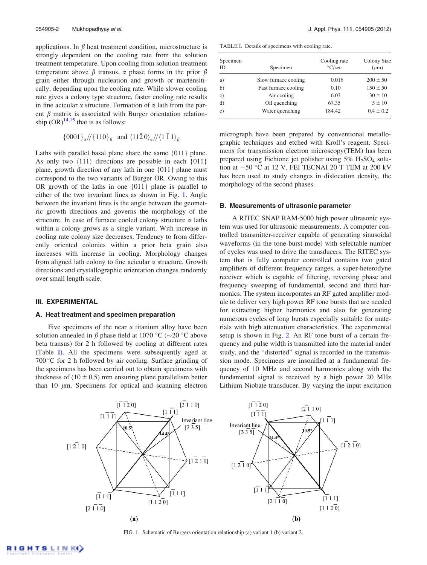applications. In  $\beta$  heat treatment condition, microstructure is strongly dependent on the cooling rate from the solution treatment temperature. Upon cooling from solution treatment temperature above  $\beta$  transus,  $\alpha$  phase forms in the prior  $\beta$ grain either through nucleation and growth or martensitically, depending upon the cooling rate. While slower cooling rate gives a colony type structure, faster cooling rate results in fine acicular  $\alpha$  structure. Formation of  $\alpha$  lath from the parent  $\beta$  matrix is associated with Burger orientation relationship  $(OR)^{14,15}$  that is as follows:

$$
{0001}_{\alpha}/({110}_{\beta} \text{ and } \langle 11\bar{2}0\rangle_{\alpha}/({\langle 1\bar{1}1\rangle_{\beta}}
$$

Laths with parallel basal plane share the same {011} plane. As only two  $\langle 111 \rangle$  directions are possible in each  $\{011\}$ plane, growth direction of any lath in one {011} plane must correspond to the two variants of Burger OR. Owing to this OR growth of the laths in one {011} plane is parallel to either of the two invariant lines as shown in Fig. 1. Angle between the invariant lines is the angle between the geometric growth directions and governs the morphology of the structure. In case of furnace cooled colony structure  $\alpha$  laths within a colony grows as a single variant. With increase in cooling rate colony size decreases. Tendency to from differently oriented colonies within a prior beta grain also increases with increase in cooling. Morphology changes from aligned lath colony to fine acicular  $\alpha$  structure. Growth directions and crystallographic orientation changes randomly over small length scale.

# III. EXPERIMENTAL

#### A. Heat treatment and specimen preparation

Five specimens of the near  $\alpha$  titanium alloy have been solution annealed in  $\beta$  phase field at 1070 °C ( $\sim$ 20 °C above beta transus) for 2 h followed by cooling at different rates (Table I). All the specimens were subsequently aged at 700 °C for 2 h followed by air cooling. Surface grinding of the specimens has been carried out to obtain specimens with thickness of  $(10 \pm 0.5)$  mm ensuring plane parallelism better than 10  $\mu$ m. Specimens for optical and scanning electron

TABLE I. Details of specimens with cooling rate.

| Specimen<br>ID. | Specimen             | Cooling rate<br>$\degree$ C/sec | Colony Size<br>$(\mu m)$ |  |
|-----------------|----------------------|---------------------------------|--------------------------|--|
| a)              | Slow furnace cooling | 0.016                           | $200 \pm 50$             |  |
| b)              | Fast furnace cooling | 0.10                            | $150 \pm 50$             |  |
| $\circ$ )       | Air cooling          | 6.03                            | $30 \pm 10$              |  |
| d)              | Oil quenching        | 67.35                           | $5 \pm 10$               |  |
| e)              | Water quenching      | 184.42                          | $0.4 \pm 0.2$            |  |

micrograph have been prepared by conventional metallographic techniques and etched with Kroll's reagent. Specimens for transmission electron microscopy(TEM) has been prepared using Fichione jet polisher using  $5\%$  H<sub>2</sub>SO<sub>4</sub> solution at  $-50$  °C at 12 V. FEI TECNAI 20 T TEM at 200 kV has been used to study changes in dislocation density, the morphology of the second phases.

#### B. Measurements of ultrasonic parameter

A RITEC SNAP RAM-5000 high power ultrasonic system was used for ultrasonic measurements. A computer controlled transmitter-receiver capable of generating sinusoidal waveforms (in the tone-burst mode) with selectable number of cycles was used to drive the transducers. The RITEC system that is fully computer controlled contains two gated amplifiers of different frequency ranges, a super-heterodyne receiver which is capable of filtering, reversing phase and frequency sweeping of fundamental, second and third harmonics. The system incorporates an RF gated amplifier module to deliver very high power RF tone bursts that are needed for extracting higher harmonics and also for generating numerous cycles of long bursts especially suitable for materials with high attenuation characteristics. The experimental setup is shown in Fig. 2. An RF tone burst of a certain frequency and pulse width is transmitted into the material under study, and the "distorted" signal is recorded in the transmission mode. Specimens are insonified at a fundamental frequency of 10 MHz and second harmonics along with the fundamental signal is received by a high power 20 MHz Lithium Niobate transducer. By varying the input excitation



FIG. 1. Schematic of Burgers orientation relationship (a) variant 1 (b) variant 2.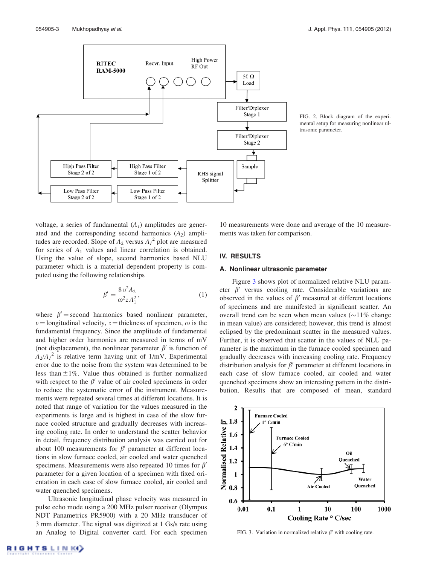



FIG. 2. Block diagram of the experimental setup for measuring nonlinear ultrasonic parameter.

voltage, a series of fundamental  $(A<sub>I</sub>)$  amplitudes are generated and the corresponding second harmonics  $(A_2)$  amplitudes are recorded. Slope of  $A_2$  versus  $A_1^2$  plot are measured for series of  $A_1$  values and linear correlation is obtained. Using the value of slope, second harmonics based NLU parameter which is a material dependent property is computed using the following relationships

$$
\beta' = \frac{8 v^2 A_2}{\omega^2 z A_1^2},\tag{1}
$$

where  $\beta' =$  second harmonics based nonlinear parameter,  $v =$ longitudinal velocity, z = thickness of specimen,  $\omega$  is the fundamental frequency. Since the amplitude of fundamental and higher order harmonics are measured in terms of mV (not displacement), the nonlinear parameter  $\beta'$  is function of  $A_2/A_1^2$  is relative term having unit of 1/mV. Experimental error due to the noise from the system was determined to be less than  $\pm 1\%$ . Value thus obtained is further normalized with respect to the  $\beta'$  value of air cooled specimens in order to reduce the systematic error of the instrument. Measurements were repeated several times at different locations. It is noted that range of variation for the values measured in the experiments is large and is highest in case of the slow furnace cooled structure and gradually decreases with increasing cooling rate. In order to understand the scatter behavior in detail, frequency distribution analysis was carried out for about 100 measurements for  $\beta'$  parameter at different locations in slow furnace cooled, air cooled and water quenched specimens. Measurements were also repeated 10 times for  $\beta'$ parameter for a given location of a specimen with fixed orientation in each case of slow furnace cooled, air cooled and water quenched specimens.

Ultrasonic longitudinal phase velocity was measured in pulse echo mode using a 200 MHz pulser receiver (Olympus NDT Panametrics PR5900) with a 20 MHz transducer of 3 mm diameter. The signal was digitized at 1 Gs/s rate using an Analog to Digital converter card. For each specimen 10 measurements were done and average of the 10 measurements was taken for comparison.

# IV. RESULTS

# A. Nonlinear ultrasonic parameter

Figure 3 shows plot of normalized relative NLU parameter  $\beta'$  versus cooling rate. Considerable variations are observed in the values of  $\beta'$  measured at different locations of specimens and are manifested in significant scatter. An overall trend can be seen when mean values  $(\sim 11\%$  change in mean value) are considered; however, this trend is almost eclipsed by the predominant scatter in the measured values. Further, it is observed that scatter in the values of NLU parameter is the maximum in the furnace cooled specimen and gradually decreases with increasing cooling rate. Frequency distribution analysis for  $\beta'$  parameter at different locations in each case of slow furnace cooled, air cooled and water quenched specimens show an interesting pattern in the distribution. Results that are composed of mean, standard



FIG. 3. Variation in normalized relative  $\beta'$  with cooling rate.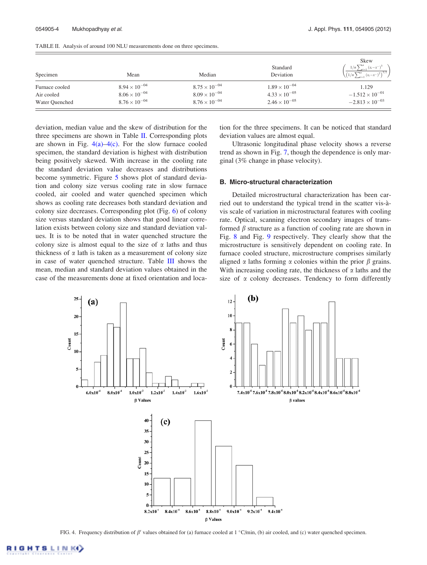| Specimen       | Mean                   | Median                 | Standard<br>Deviation  | Skew<br>$1/n \sum_{i=1}^{n} (x_i - x^{-})^3$<br>$\left(1/n \sum_{i=1}^n (x_i-x^{-1})^2\right)^{3/2}$ |
|----------------|------------------------|------------------------|------------------------|------------------------------------------------------------------------------------------------------|
| Furnace cooled | $8.94 \times 10^{-04}$ | $8.75 \times 10^{-04}$ | $1.89 \times 10^{-04}$ | 1.129                                                                                                |
| Air cooled     | $8.06 \times 10^{-04}$ | $8.09 \times 10^{-04}$ | $4.33 \times 10^{-05}$ | $-1.512 \times 10^{-01}$                                                                             |
| Water Quenched | $8.76 \times 10^{-04}$ | $8.76 \times 10^{-04}$ | $2.46 \times 10^{-05}$ | $-2.813 \times 10^{-03}$                                                                             |

TABLE II. Analysis of around 100 NLU measurements done on three specimens.

deviation, median value and the skew of distribution for the three specimens are shown in Table II. Corresponding plots are shown in Fig.  $4(a) - 4(c)$ . For the slow furnace cooled specimen, the standard deviation is highest with distribution being positively skewed. With increase in the cooling rate the standard deviation value decreases and distributions become symmetric. Figure 5 shows plot of standard deviation and colony size versus cooling rate in slow furnace cooled, air cooled and water quenched specimen which shows as cooling rate decreases both standard deviation and colony size decreases. Corresponding plot (Fig. 6) of colony size versus standard deviation shows that good linear correlation exists between colony size and standard deviation values. It is to be noted that in water quenched structure the colony size is almost equal to the size of  $\alpha$  laths and thus thickness of  $\alpha$  lath is taken as a measurement of colony size in case of water quenched structure. Table III shows the mean, median and standard deviation values obtained in the case of the measurements done at fixed orientation and location for the three specimens. It can be noticed that standard deviation values are almost equal.

Ultrasonic longitudinal phase velocity shows a reverse trend as shown in Fig. 7, though the dependence is only marginal (3% change in phase velocity).

#### B. Micro-structural characterization

Detailed microstructural characterization has been carried out to understand the typical trend in the scatter vis-a` vis scale of variation in microstructural features with cooling rate. Optical, scanning electron secondary images of transformed  $\beta$  structure as a function of cooling rate are shown in Fig. 8 and Fig. 9 respectively. They clearly show that the microstructure is sensitively dependent on cooling rate. In furnace cooled structure, microstructure comprises similarly aligned  $\alpha$  laths forming  $\alpha$  colonies within the prior  $\beta$  grains. With increasing cooling rate, the thickness of  $\alpha$  laths and the size of  $\alpha$  colony decreases. Tendency to form differently



FIG. 4. Frequency distribution of  $\beta'$  values obtained for (a) furnace cooled at 1 °C/min, (b) air cooled, and (c) water quenched specimen.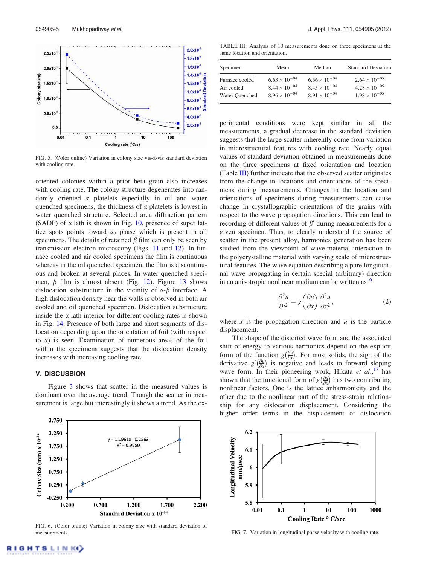

FIG. 5. (Color online) Variation in colony size vis-à-vis standard deviation with cooling rate.

oriented colonies within a prior beta grain also increases with cooling rate. The colony structure degenerates into randomly oriented  $\alpha$  platelets especially in oil and water quenched specimens, the thickness of  $\alpha$  platelets is lowest in water quenched structure. Selected area diffraction pattern (SADP) of  $\alpha$  lath is shown in Fig. 10, presence of super lattice spots points toward  $\alpha_2$  phase which is present in all specimens. The details of retained  $\beta$  film can only be seen by transmission electron microscopy (Figs. 11 and 12). In furnace cooled and air cooled specimens the film is continuous whereas in the oil quenched specimen, the film is discontinuous and broken at several places. In water quenched specimen,  $\beta$  film is almost absent (Fig. 12). Figure 13 shows dislocation substructure in the vicinity of  $\alpha$ - $\beta$  interface. A high dislocation density near the walls is observed in both air cooled and oil quenched specimen. Dislocation substructure inside the  $\alpha$  lath interior for different cooling rates is shown in Fig. 14. Presence of both large and short segments of dislocation depending upon the orientation of foil (with respect to  $\alpha$ ) is seen. Examination of numerous areas of the foil within the specimens suggests that the dislocation density increases with increasing cooling rate.

# V. DISCUSSION

Figure 3 shows that scatter in the measured values is dominant over the average trend. Though the scatter in measurement is large but interestingly it shows a trend. As the ex-



FIG. 6. (Color online) Variation in colony size with standard deviation of measurements. FIG. 7. Variation in longitudinal phase velocity with cooling rate.

TABLE III. Analysis of 10 measurements done on three specimens at the same location and orientation.

| Specimen       | Mean                   | Median                 | <b>Standard Deviation</b> |
|----------------|------------------------|------------------------|---------------------------|
| Furnace cooled | $6.63 \times 10^{-04}$ | $6.56 \times 10^{-04}$ | $2.64 \times 10^{-05}$    |
| Air cooled     | $8.44 \times 10^{-04}$ | $8.45 \times 10^{-04}$ | $4.28 \times 10^{-05}$    |
| Water Ouenched | $8.96 \times 10^{-04}$ | $8.91 \times 10^{-04}$ | $1.98 \times 10^{-05}$    |

perimental conditions were kept similar in all the measurements, a gradual decrease in the standard deviation suggests that the large scatter inherently come from variation in microstructural features with cooling rate. Nearly equal values of standard deviation obtained in measurements done on the three specimens at fixed orientation and location (Table III) further indicate that the observed scatter originates from the change in locations and orientations of the specimens during measurements. Changes in the location and orientations of specimens during measurements can cause change in crystallographic orientations of the grains with respect to the wave propagation directions. This can lead to recording of different values of  $\beta'$  during measurements for a given specimen. Thus, to clearly understand the source of scatter in the present alloy, harmonics generation has been studied from the viewpoint of wave-material interaction in the polycrystalline material with varying scale of microstructural features. The wave equation describing a pure longitudinal wave propagating in certain special (arbitrary) direction in an anisotropic nonlinear medium can be written  $as<sup>16</sup>$ 

$$
\frac{\partial^2 u}{\partial t^2} = g \left( \frac{\partial u}{\partial x} \right) \frac{\partial^2 u}{\partial x^2},\tag{2}
$$

where x is the propagation direction and  $u$  is the particle displacement.

The shape of the distorted wave form and the associated shift of energy to various harmonics depend on the explicit form of the function  $g\left(\frac{\partial u}{\partial x}\right)$ . For most solids, the sign of the derivative  $g'(\frac{\partial u}{\partial x})$  is negative and leads to forward sloping wave form. In their pioneering work, Hikata et  $al$ ,<sup>17</sup> has shown that the functional form of  $g\left(\frac{\partial u}{\partial x}\right)$  has two contributing nonlinear factors. One is the lattice anharmonicity and the other due to the nonlinear part of the stress-strain relationship for any dislocation displacement. Considering the higher order terms in the displacement of dislocation

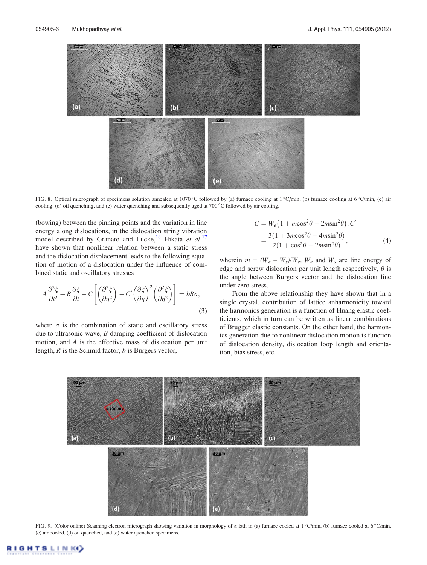

FIG. 8. Optical micrograph of specimens solution annealed at 1070 °C followed by (a) furnace cooling at 1 °C/min, (b) furnace cooling at 6 °C/min, (c) air cooling, (d) oil quenching, and (e) water quenching and subsequently aged at  $700^{\circ}$ C followed by air cooling.

(bowing) between the pinning points and the variation in line energy along dislocations, in the dislocation string vibration model described by Granato and Lucke,<sup>18</sup> Hikata et al.<sup>17</sup> have shown that nonlinear relation between a static stress and the dislocation displacement leads to the following equation of motion of a dislocation under the influence of combined static and oscillatory stresses

$$
A\frac{\partial^2 \xi}{\partial t^2} + B\frac{\partial \xi}{\partial t} - C\left[\left(\frac{\partial^2 \xi}{\partial \eta^2}\right) - C'\left(\frac{\partial \xi}{\partial \eta}\right)^2 \left(\frac{\partial^2 \xi}{\partial \eta^2}\right)\right] = bR\sigma,
$$
\n(3)

where  $\sigma$  is the combination of static and oscillatory stress due to ultrasonic wave,  $B$  damping coefficient of dislocation motion, and A is the effective mass of dislocation per unit length,  $R$  is the Schmid factor,  $b$  is Burgers vector,

$$
C = W_e \left( 1 + m \cos^2 \theta - 2m \sin^2 \theta \right), C'
$$
  
= 
$$
\frac{3(1 + 3m \cos^2 \theta - 4m \sin^2 \theta)}{2(1 + \cos^2 \theta - 2m \sin^2 \theta)},
$$
 (4)

wherein  $m = (W_e - W_s)/W_e$ ,  $W_e$  and  $W_s$  are line energy of edge and screw dislocation per unit length respectively,  $\theta$  is the angle between Burgers vector and the dislocation line under zero stress.

From the above relationship they have shown that in a single crystal, contribution of lattice anharmonicity toward the harmonics generation is a function of Huang elastic coefficients, which in turn can be written as linear combinations of Brugger elastic constants. On the other hand, the harmonics generation due to nonlinear dislocation motion is function of dislocation density, dislocation loop length and orientation, bias stress, etc.



FIG. 9. (Color online) Scanning electron micrograph showing variation in morphology of  $\alpha$  lath in (a) furnace cooled at 1 °C/min, (b) furnace cooled at 6 °C/min, (c) air cooled, (d) oil quenched, and (e) water quenched specimens.

LINK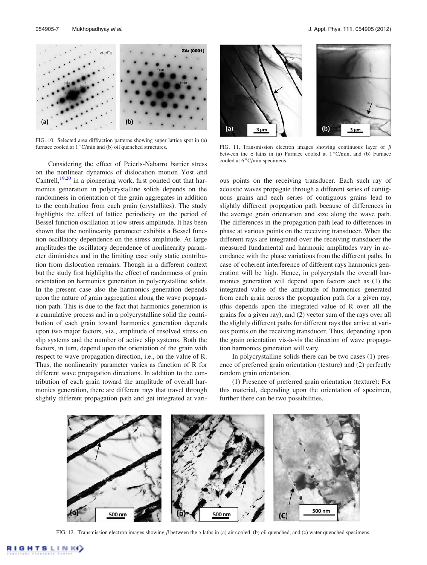

FIG. 10. Selected area diffraction patterns showing super lattice spot in (a) furnace cooled at  $1 °C/min$  and (b) oil quenched structures.

Considering the effect of Peierls-Nabarro barrier stress on the nonlinear dynamics of dislocation motion Yost and Cantrell,<sup>19,20</sup> in a pioneering work, first pointed out that harmonics generation in polycrystalline solids depends on the randomness in orientation of the grain aggregates in addition to the contribution from each grain (crystallites). The study highlights the effect of lattice periodicity on the period of Bessel function oscillation at low stress amplitude. It has been shown that the nonlinearity parameter exhibits a Bessel function oscillatory dependence on the stress amplitude. At large amplitudes the oscillatory dependence of nonlinearity parameter diminishes and in the limiting case only static contribution from dislocation remains. Though in a different context but the study first highlights the effect of randomness of grain orientation on harmonics generation in polycrystalline solids. In the present case also the harmonics generation depends upon the nature of grain aggregation along the wave propagation path. This is due to the fact that harmonics generation is a cumulative process and in a polycrystalline solid the contribution of each grain toward harmonics generation depends upon two major factors, viz., amplitude of resolved stress on slip systems and the number of active slip systems. Both the factors, in turn, depend upon the orientation of the grain with respect to wave propagation direction, i.e., on the value of R. Thus, the nonlinearity parameter varies as function of R for different wave propagation directions. In addition to the contribution of each grain toward the amplitude of overall harmonics generation, there are different rays that travel through slightly different propagation path and get integrated at vari-



FIG. 11. Transmission electron images showing continuous layer of  $\beta$ between the  $\alpha$  laths in (a) Furnace cooled at  $1^{\circ}$ C/min, and (b) Furnace cooled at 6°C/min specimens.

ous points on the receiving transducer. Each such ray of acoustic waves propagate through a different series of contiguous grains and each series of contiguous grains lead to slightly different propagation path because of differences in the average grain orientation and size along the wave path. The differences in the propagation path lead to differences in phase at various points on the receiving transducer. When the different rays are integrated over the receiving transducer the measured fundamental and harmonic amplitudes vary in accordance with the phase variations from the different paths. In case of coherent interference of different rays harmonics generation will be high. Hence, in polycrystals the overall harmonics generation will depend upon factors such as (1) the integrated value of the amplitude of harmonics generated from each grain across the propagation path for a given ray, (this depends upon the integrated value of R over all the grains for a given ray), and (2) vector sum of the rays over all the slightly different paths for different rays that arrive at various points on the receiving transducer. Thus, depending upon the grain orientation vis-à-vis the direction of wave propagation harmonics generation will vary.

In polycrystalline solids there can be two cases (1) presence of preferred grain orientation (texture) and (2) perfectly random grain orientation.

(1) Presence of preferred grain orientation (texture): For this material, depending upon the orientation of specimen, further there can be two possibilities.



FIG. 12. Transmission electron images showing  $\beta$  between the  $\alpha$  laths in (a) air cooled, (b) oil quenched, and (c) water quenched specimens.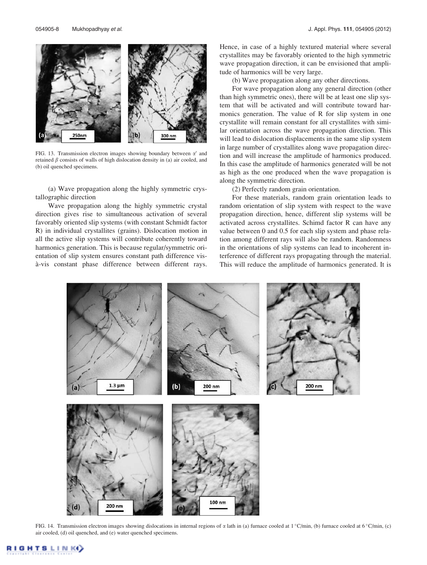

FIG. 13. Transmission electron images showing boundary between  $\alpha'$  and retained  $\beta$  consists of walls of high dislocation density in (a) air cooled, and (b) oil quenched specimens.

(a) Wave propagation along the highly symmetric crystallographic direction

Wave propagation along the highly symmetric crystal direction gives rise to simultaneous activation of several favorably oriented slip systems (with constant Schmidt factor R) in individual crystallites (grains). Dislocation motion in all the active slip systems will contribute coherently toward harmonics generation. This is because regular/symmetric orientation of slip system ensures constant path difference visà-vis constant phase difference between different rays. Hence, in case of a highly textured material where several crystallites may be favorably oriented to the high symmetric wave propagation direction, it can be envisioned that amplitude of harmonics will be very large.

(b) Wave propagation along any other directions.

For wave propagation along any general direction (other than high symmetric ones), there will be at least one slip system that will be activated and will contribute toward harmonics generation. The value of R for slip system in one crystallite will remain constant for all crystallites with similar orientation across the wave propagation direction. This will lead to dislocation displacements in the same slip system in large number of crystallites along wave propagation direction and will increase the amplitude of harmonics produced. In this case the amplitude of harmonics generated will be not as high as the one produced when the wave propagation is along the symmetric direction.

(2) Perfectly random grain orientation.

For these materials, random grain orientation leads to random orientation of slip system with respect to the wave propagation direction, hence, different slip systems will be activated across crystallites. Schimd factor R can have any value between 0 and 0.5 for each slip system and phase relation among different rays will also be random. Randomness in the orientations of slip systems can lead to incoherent interference of different rays propagating through the material. This will reduce the amplitude of harmonics generated. It is



FIG. 14. Transmission electron images showing dislocations in internal regions of  $\alpha$  lath in (a) furnace cooled at 1 °C/min, (b) furnace cooled at 6 °C/min, (c) air cooled, (d) oil quenched, and (e) water quenched specimens.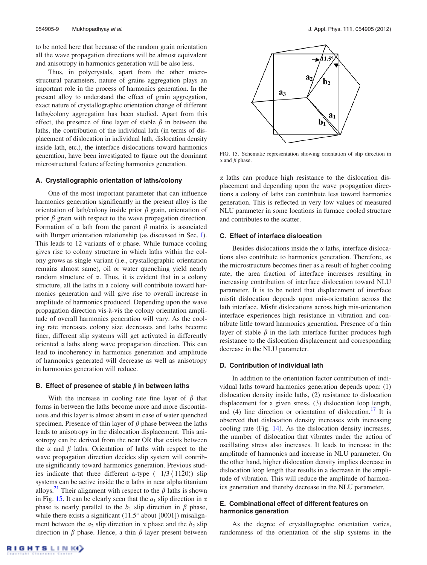to be noted here that because of the random grain orientation all the wave propagation directions will be almost equivalent and anisotropy in harmonics generation will be also less.

Thus, in polycrystals, apart from the other microstructural parameters, nature of grains aggregation plays an important role in the process of harmonics generation. In the present alloy to understand the effect of grain aggregation, exact nature of crystallographic orientation change of different laths/colony aggregation has been studied. Apart from this effect, the presence of fine layer of stable  $\beta$  in between the laths, the contribution of the individual lath (in terms of displacement of dislocation in individual lath, dislocation density inside lath, etc.), the interface dislocations toward harmonics generation, have been investigated to figure out the dominant microstructural feature affecting harmonics generation.

# A. Crystallographic orientation of laths/colony

One of the most important parameter that can influence harmonics generation significantly in the present alloy is the orientation of lath/colony inside prior  $\beta$  grain, orientation of prior  $\beta$  grain with respect to the wave propagation direction. Formation of  $\alpha$  lath from the parent  $\beta$  matrix is associated with Burger orientation relationship (as discussed in Sec. I). This leads to 12 variants of  $\alpha$  phase. While furnace cooling gives rise to colony structure in which laths within the colony grows as single variant (i.e., crystallographic orientation remains almost same), oil or water quenching yield nearly random structure of  $\alpha$ . Thus, it is evident that in a colony structure, all the laths in a colony will contribute toward harmonics generation and will give rise to overall increase in amplitude of harmonics produced. Depending upon the wave propagation direction vis-à-vis the colony orientation amplitude of overall harmonics generation will vary. As the cooling rate increases colony size decreases and laths become finer, different slip systems will get activated in differently oriented  $\alpha$  laths along wave propagation direction. This can lead to incoherency in harmonics generation and amplitude of harmonics generated will decrease as well as anisotropy in harmonics generation will reduce.

#### B. Effect of presence of stable  $\beta$  in between laths

With the increase in cooling rate fine layer of  $\beta$  that forms in between the laths become more and more discontinuous and this layer is almost absent in case of water quenched specimen. Presence of thin layer of  $\beta$  phase between the laths leads to anisotropy in the dislocation displacement. This anisotropy can be derived from the near OR that exists between the  $\alpha$  and  $\beta$  laths. Orientation of laths with respect to the wave propagation direction decides slip system will contribute significantly toward harmonics generation. Previous studies indicate that three different a-type  $(-1/3 \langle 1120 \rangle)$  slip systems can be active inside the  $\alpha$  laths in near alpha titanium alloys.<sup>21</sup> Their alignment with respect to the  $\beta$  laths is shown in Fig. 15. It can be clearly seen that the  $a_1$  slip direction in  $\alpha$ phase is nearly parallel to the  $b_1$  slip direction in  $\beta$  phase, while there exists a significant  $(11.5^{\circ}$  about  $[0001]$ ) misalignment between the  $a_2$  slip direction in  $\alpha$  phase and the  $b_2$  slip direction in  $\beta$  phase. Hence, a thin  $\beta$  layer present between



FIG. 15. Schematic representation showing orientation of slip direction in  $\alpha$  and  $\beta$  phase.

 $\alpha$  laths can produce high resistance to the dislocation displacement and depending upon the wave propagation directions a colony of laths can contribute less toward harmonics generation. This is reflected in very low values of measured NLU parameter in some locations in furnace cooled structure and contributes to the scatter.

# C. Effect of interface dislocation

Besides dislocations inside the  $\alpha$  laths, interface dislocations also contribute to harmonics generation. Therefore, as the microstructure becomes finer as a result of higher cooling rate, the area fraction of interface increases resulting in increasing contribution of interface dislocation toward NLU parameter. It is to be noted that displacement of interface misfit dislocation depends upon mis-orientation across the lath interface. Misfit dislocations across high mis-orientation interface experiences high resistance in vibration and contribute little toward harmonics generation. Presence of a thin layer of stable  $\beta$  in the lath interface further produces high resistance to the dislocation displacement and corresponding decrease in the NLU parameter.

#### D. Contribution of individual lath

In addition to the orientation factor contribution of individual laths toward harmonics generation depends upon: (1) dislocation density inside laths, (2) resistance to dislocation displacement for a given stress, (3) dislocation loop length, and (4) line direction or orientation of dislocation.<sup>17</sup> It is observed that dislocation density increases with increasing cooling rate (Fig. 14). As the dislocation density increases, the number of dislocation that vibrates under the action of oscillating stress also increases. It leads to increase in the amplitude of harmonics and increase in NLU parameter. On the other hand, higher dislocation density implies decrease in dislocation loop length that results in a decrease in the amplitude of vibration. This will reduce the amplitude of harmonics generation and thereby decrease in the NLU parameter.

# E. Combinational effect of different features on harmonics generation

As the degree of crystallographic orientation varies, randomness of the orientation of the slip systems in the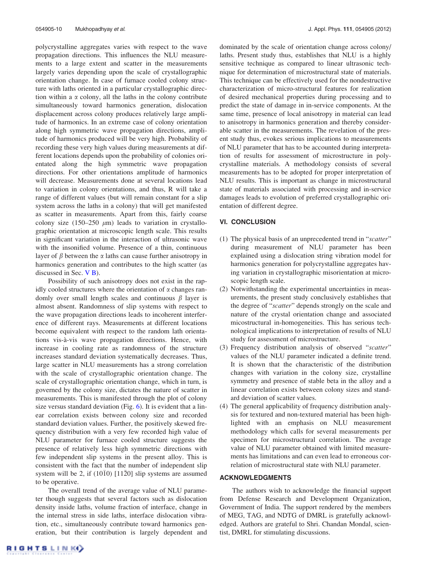polycrystalline aggregates varies with respect to the wave propagation directions. This influences the NLU measurements to a large extent and scatter in the measurements largely varies depending upon the scale of crystallographic orientation change. In case of furnace cooled colony structure with laths oriented in a particular crystallographic direction within a  $\alpha$  colony, all the laths in the colony contribute simultaneously toward harmonics generation, dislocation displacement across colony produces relatively large amplitude of harmonics. In an extreme case of colony orientation along high symmetric wave propagation directions, amplitude of harmonics produced will be very high. Probability of recording these very high values during measurements at different locations depends upon the probability of colonies orientated along the high symmetric wave propagation directions. For other orientations amplitude of harmonics will decrease. Measurements done at several locations lead to variation in colony orientations, and thus, R will take a range of different values (but will remain constant for a slip system across the laths in a colony) that will get manifested as scatter in measurements. Apart from this, fairly coarse colony size (150–250  $\mu$ m) leads to variation in crystallographic orientation at microscopic length scale. This results in significant variation in the interaction of ultrasonic wave with the insonified volume. Presence of a thin, continuous layer of  $\beta$  between the  $\alpha$  laths can cause further anisotropy in harmonics generation and contributes to the high scatter (as discussed in Sec. V B).

Possibility of such anisotropy does not exist in the rapidly cooled structures where the orientation of  $\alpha$  changes randomly over small length scales and continuous  $\beta$  layer is almost absent. Randomness of slip systems with respect to the wave propagation directions leads to incoherent interference of different rays. Measurements at different locations become equivalent with respect to the random lath orientations vis-a`-vis wave propagation directions. Hence, with increase in cooling rate as randomness of the structure increases standard deviation systematically decreases. Thus, large scatter in NLU measurements has a strong correlation with the scale of crystallographic orientation change. The scale of crystallographic orientation change, which in turn, is governed by the colony size, dictates the nature of scatter in measurements. This is manifested through the plot of colony size versus standard deviation (Fig. 6). It is evident that a linear correlation exists between colony size and recorded standard deviation values. Further, the positively skewed frequency distribution with a very few recorded high value of NLU parameter for furnace cooled structure suggests the presence of relatively less high symmetric directions with few independent slip systems in the present alloy. This is consistent with the fact that the number of independent slip system will be 2, if  $(10\bar{1}0)$   $[11\bar{2}0]$  slip systems are assumed to be operative.

The overall trend of the average value of NLU parameter though suggests that several factors such as dislocation density inside laths, volume fraction of interface, change in the internal stress in side laths, interface dislocation vibration, etc., simultaneously contribute toward harmonics generation, but their contribution is largely dependent and dominated by the scale of orientation change across colony/ laths. Present study thus, establishes that NLU is a highly sensitive technique as compared to linear ultrasonic technique for determination of microstructural state of materials. This technique can be effectively used for the nondestructive characterization of micro-structural features for realization of desired mechanical properties during processing and to predict the state of damage in in-service components. At the same time, presence of local anisotropy in material can lead to anisotropy in harmonics generation and thereby considerable scatter in the measurements. The revelation of the present study thus, evokes serious implications to measurements of NLU parameter that has to be accounted during interpretation of results for assessment of microstructure in polycrystalline materials. A methodology consists of several measurements has to be adopted for proper interpretation of NLU results. This is important as change in microstructural state of materials associated with processing and in-service damages leads to evolution of preferred crystallographic orientation of different degree.

# VI. CONCLUSION

- (1) The physical basis of an unprecedented trend in "scatter" during measurement of NLU parameter has been explained using a dislocation string vibration model for harmonics generation for polycrystalline aggregates having variation in crystallographic misorientation at microscopic length scale.
- (2) Notwithstanding the experimental uncertainties in measurements, the present study conclusively establishes that the degree of "scatter" depends strongly on the scale and nature of the crystal orientation change and associated micostructural in-homogeneities. This has serious technological implications to interpretation of results of NLU study for assessment of microstructure.
- (3) Frequency distribution analysis of observed "scatter" values of the NLU parameter indicated a definite trend. It is shown that the characteristic of the distribution changes with variation in the colony size, crystalline symmetry and presence of stable beta in the alloy and a linear correlation exists between colony sizes and standard deviation of scatter values.
- (4) The general applicability of frequency distribution analysis for textured and non-textured material has been highlighted with an emphasis on NLU measurement methodology which calls for several measurements per specimen for microstructural correlation. The average value of NLU parameter obtained with limited measurements has limitations and can even lead to erroneous correlation of microstructural state with NLU parameter.

## ACKNOWLEDGMENTS

The authors wish to acknowledge the financial support from Defense Research and Development Organization, Government of India. The support rendered by the members of MEG, TAG, and NDTG of DMRL is gratefully acknowledged. Authors are grateful to Shri. Chandan Mondal, scientist, DMRL for stimulating discussions.